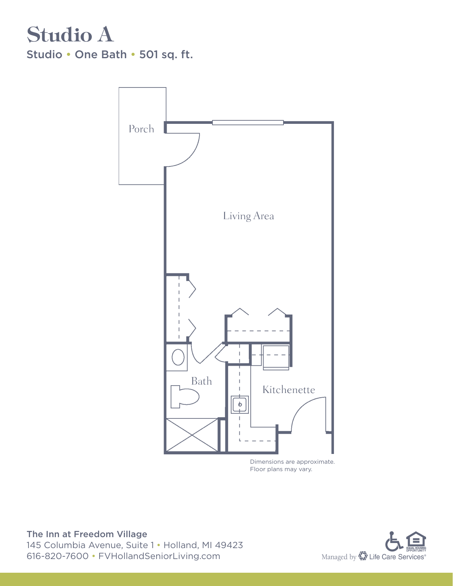

Floor plans may vary.

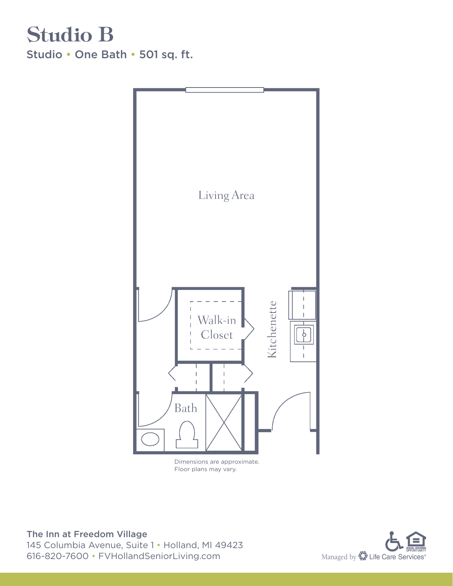#### Studio B Studio • One Bath • 501 sq. ft.



Floor plans may vary.

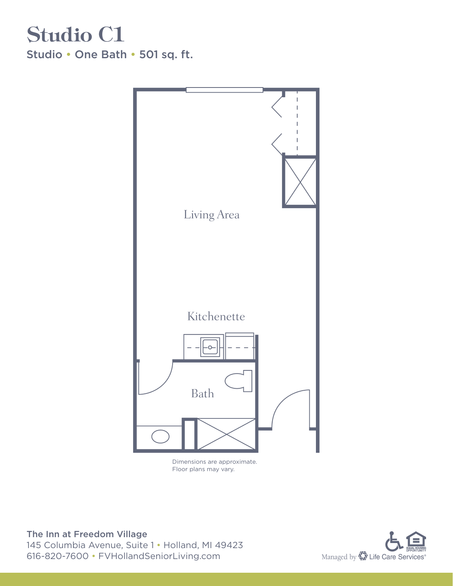### Studio C1 Studio • One Bath • 501 sq. ft.



Dimensions are approximate. Floor plans may vary.

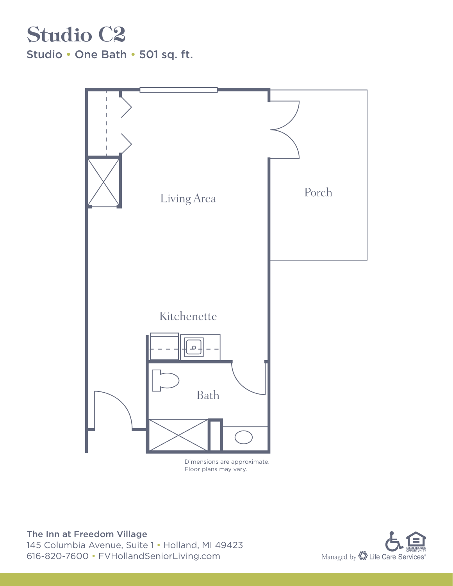#### Studio C2 Studio • One Bath • 501 sq. ft.



Floor plans may vary.

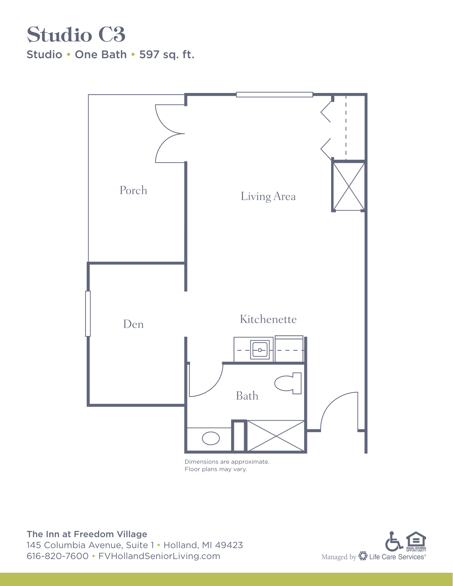## Studio C3

Studio • One Bath • 597 sq. ft.



Floor plans may vary.

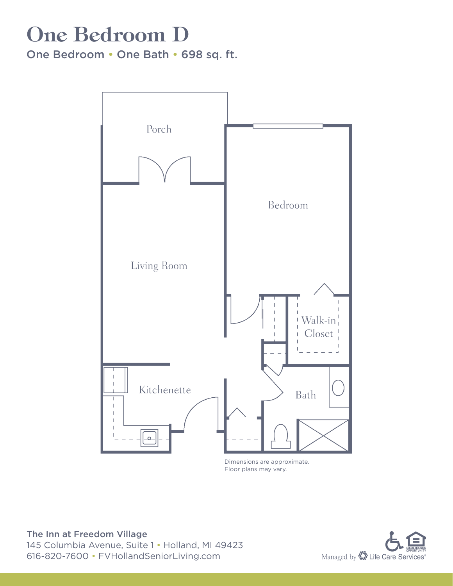## One Bedroom D

One Bedroom • One Bath • 698 sq. ft.



Dimensions are approximate. Floor plans may vary.

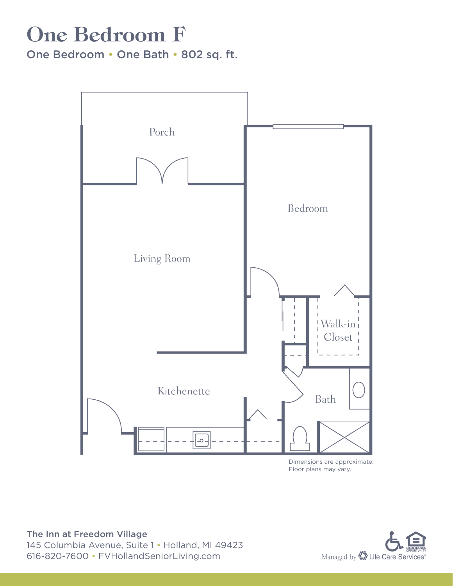## One Bedroom F

One Bedroom • One Bath • 802 sq. ft.



Floor plans may vary.

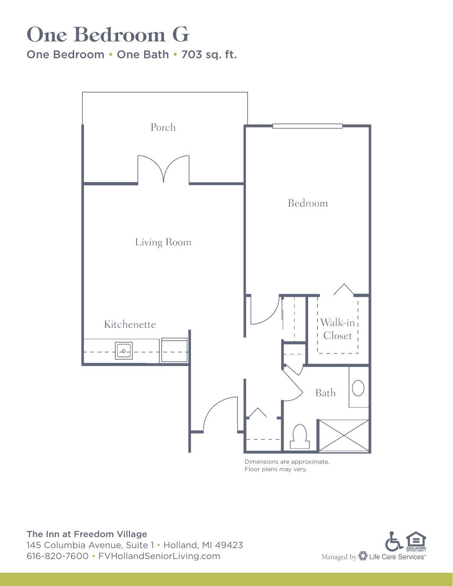## One Bedroom G

One Bedroom • One Bath • 703 sq. ft.



Dimensions are approximate. Floor plans may vary.

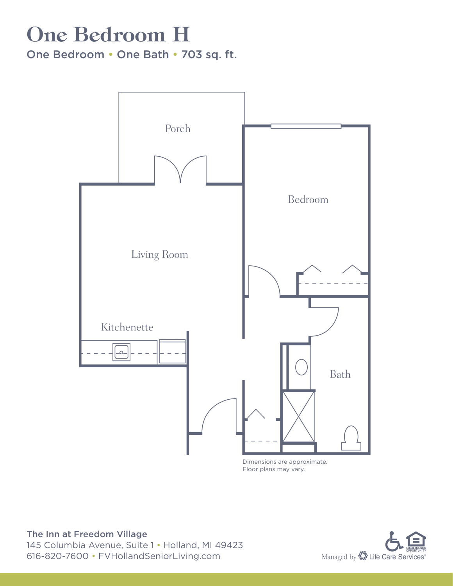## One Bedroom H

One Bedroom • One Bath • 703 sq. ft.



Floor plans may vary.

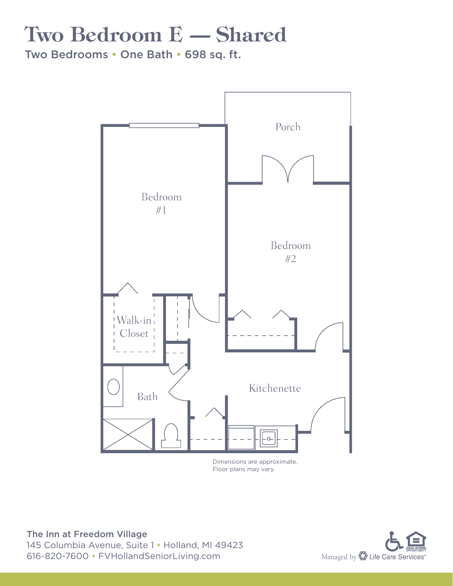# Two Bedroom E — Shared

Two Bedrooms • One Bath • 698 sq. ft.



Floor plans may vary.

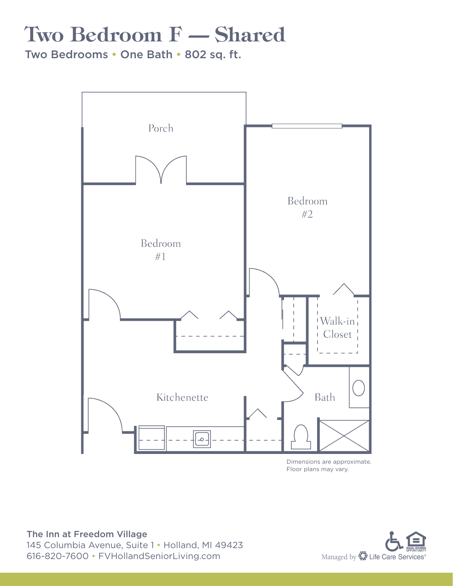# Two Bedroom F — Shared

Two Bedrooms • One Bath • 802 sq. ft.



Dimensions are approximate. Floor plans may vary.

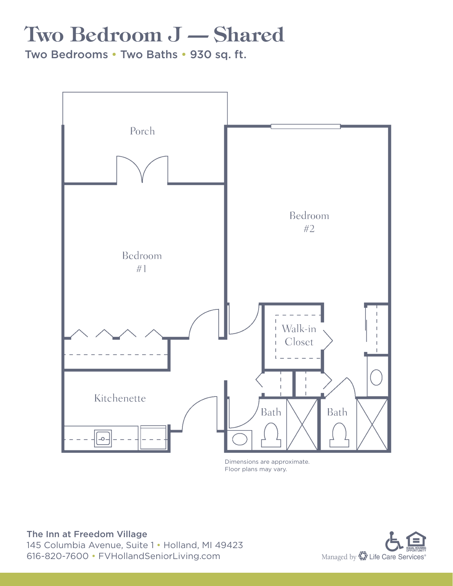# Two Bedroom J — Shared

Two Bedrooms • Two Baths • 930 sq. ft.



Dimensions are approximate. Floor plans may vary.